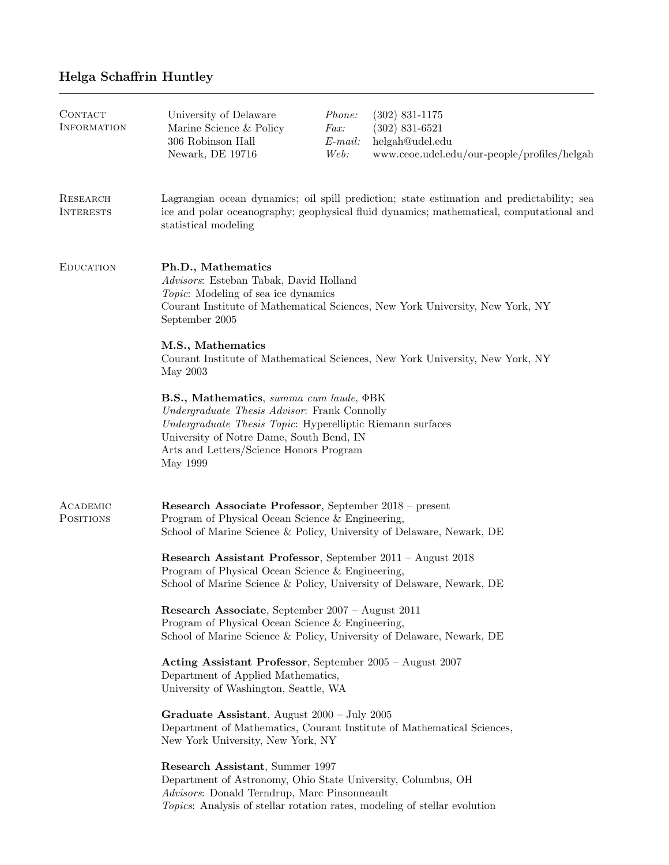## Helga Schaffrin Huntley

| CONTACT<br><b>INFORMATION</b> | University of Delaware<br>Marine Science & Policy<br>306 Robinson Hall<br>Newark, DE 19716                                                                                                                                                               | Phone:<br>Fax:<br>$E$ -mail:<br>Web: | $(302)$ 831-1175<br>$(302)$ 831-6521<br>helgah@udel.edu<br>www.ceoe.udel.edu/our-people/profiles/helgah                                                                              |
|-------------------------------|----------------------------------------------------------------------------------------------------------------------------------------------------------------------------------------------------------------------------------------------------------|--------------------------------------|--------------------------------------------------------------------------------------------------------------------------------------------------------------------------------------|
| RESEARCH<br><b>INTERESTS</b>  | statistical modeling                                                                                                                                                                                                                                     |                                      | Lagrangian ocean dynamics; oil spill prediction; state estimation and predictability; sea<br>ice and polar oceanography; geophysical fluid dynamics; mathematical, computational and |
| <b>EDUCATION</b>              | Ph.D., Mathematics<br>Advisors: Esteban Tabak, David Holland<br><i>Topic</i> : Modeling of sea ice dynamics<br>September 2005<br>M.S., Mathematics                                                                                                       |                                      | Courant Institute of Mathematical Sciences, New York University, New York, NY                                                                                                        |
|                               | May 2003                                                                                                                                                                                                                                                 |                                      | Courant Institute of Mathematical Sciences, New York University, New York, NY                                                                                                        |
|                               | B.S., Mathematics, summa cum laude, ¢BK<br>Undergraduate Thesis Advisor: Frank Connolly<br>Undergraduate Thesis Topic: Hyperelliptic Riemann surfaces<br>University of Notre Dame, South Bend, IN<br>Arts and Letters/Science Honors Program<br>May 1999 |                                      |                                                                                                                                                                                      |
| ACADEMIC<br><b>POSITIONS</b>  | Research Associate Professor, September 2018 - present<br>Program of Physical Ocean Science & Engineering,<br>School of Marine Science & Policy, University of Delaware, Newark, DE                                                                      |                                      |                                                                                                                                                                                      |
|                               | Research Assistant Professor, September 2011 - August 2018<br>Program of Physical Ocean Science & Engineering,<br>School of Marine Science & Policy, University of Delaware, Newark, DE                                                                  |                                      |                                                                                                                                                                                      |
|                               | Research Associate, September 2007 – August 2011<br>Program of Physical Ocean Science & Engineering,<br>School of Marine Science & Policy, University of Delaware, Newark, DE                                                                            |                                      |                                                                                                                                                                                      |
|                               | Acting Assistant Professor, September 2005 - August 2007<br>Department of Applied Mathematics,<br>University of Washington, Seattle, WA                                                                                                                  |                                      |                                                                                                                                                                                      |
|                               | Graduate Assistant, August 2000 - July 2005<br>Department of Mathematics, Courant Institute of Mathematical Sciences,<br>New York University, New York, NY                                                                                               |                                      |                                                                                                                                                                                      |
|                               | Research Assistant, Summer 1997<br>Department of Astronomy, Ohio State University, Columbus, OH<br>Advisors: Donald Terndrup, Marc Pinsonneault<br>Topics: Analysis of stellar rotation rates, modeling of stellar evolution                             |                                      |                                                                                                                                                                                      |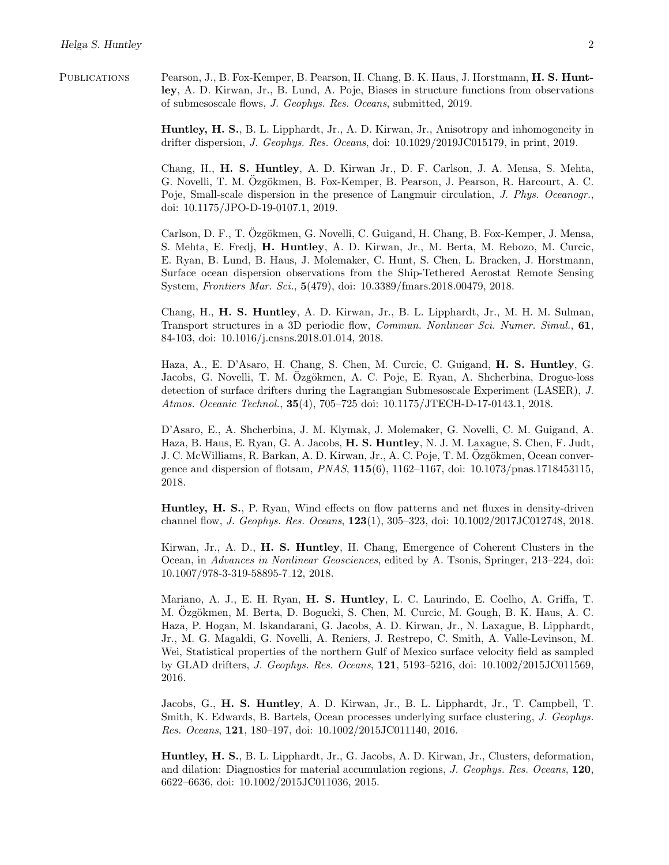Publications Pearson, J., B. Fox-Kemper, B. Pearson, H. Chang, B. K. Haus, J. Horstmann, H. S. Huntley, A. D. Kirwan, Jr., B. Lund, A. Poje, Biases in structure functions from observations of submesoscale flows, *J. Geophys. Res. Oceans*, submitted, 2019.

> Huntley, H. S., B. L. Lipphardt, Jr., A. D. Kirwan, Jr., Anisotropy and inhomogeneity in drifter dispersion, *J. Geophys. Res. Oceans*, doi: 10.1029/2019JC015179, in print, 2019.

> Chang, H., H. S. Huntley, A. D. Kirwan Jr., D. F. Carlson, J. A. Mensa, S. Mehta, G. Novelli, T. M. Özgökmen, B. Fox-Kemper, B. Pearson, J. Pearson, R. Harcourt, A. C. Poje, Small-scale dispersion in the presence of Langmuir circulation, *J. Phys. Oceanogr.*, doi: 10.1175/JPO-D-19-0107.1, 2019.

> Carlson, D. F., T. Özgökmen, G. Novelli, C. Guigand, H. Chang, B. Fox-Kemper, J. Mensa, S. Mehta, E. Fredj, H. Huntley, A. D. Kirwan, Jr., M. Berta, M. Rebozo, M. Curcic, E. Ryan, B. Lund, B. Haus, J. Molemaker, C. Hunt, S. Chen, L. Bracken, J. Horstmann, Surface ocean dispersion observations from the Ship-Tethered Aerostat Remote Sensing System, *Frontiers Mar. Sci.*, 5(479), doi: 10.3389/fmars.2018.00479, 2018.

> Chang, H., H. S. Huntley, A. D. Kirwan, Jr., B. L. Lipphardt, Jr., M. H. M. Sulman, Transport structures in a 3D periodic flow, *Commun. Nonlinear Sci. Numer. Simul.*, 61, 84-103, doi: 10.1016/j.cnsns.2018.01.014, 2018.

> Haza, A., E. D'Asaro, H. Chang, S. Chen, M. Curcic, C. Guigand, H. S. Huntley, G. Jacobs, G. Novelli, T. M. Özgökmen, A. C. Poje, E. Ryan, A. Shcherbina, Drogue-loss detection of surface drifters during the Lagrangian Submesoscale Experiment (LASER), *J. Atmos. Oceanic Technol.*, 35(4), 705–725 doi: 10.1175/JTECH-D-17-0143.1, 2018.

> D'Asaro, E., A. Shcherbina, J. M. Klymak, J. Molemaker, G. Novelli, C. M. Guigand, A. Haza, B. Haus, E. Ryan, G. A. Jacobs, H. S. Huntley, N. J. M. Laxague, S. Chen, F. Judt, J. C. McWilliams, R. Barkan, A. D. Kirwan, Jr., A. C. Poje, T. M. Ozgökmen, Ocean convergence and dispersion of flotsam, *PNAS*, 115(6), 1162–1167, doi: 10.1073/pnas.1718453115, 2018.

> Huntley, H. S., P. Ryan, Wind effects on flow patterns and net fluxes in density-driven channel flow, *J. Geophys. Res. Oceans*, 123(1), 305–323, doi: 10.1002/2017JC012748, 2018.

> Kirwan, Jr., A. D., H. S. Huntley, H. Chang, Emergence of Coherent Clusters in the Ocean, in *Advances in Nonlinear Geosciences*, edited by A. Tsonis, Springer, 213–224, doi: 10.1007/978-3-319-58895-7 12, 2018.

> Mariano, A. J., E. H. Ryan, H. S. Huntley, L. C. Laurindo, E. Coelho, A. Griffa, T. M. Özgökmen, M. Berta, D. Bogucki, S. Chen, M. Curcic, M. Gough, B. K. Haus, A. C. Haza, P. Hogan, M. Iskandarani, G. Jacobs, A. D. Kirwan, Jr., N. Laxague, B. Lipphardt, Jr., M. G. Magaldi, G. Novelli, A. Reniers, J. Restrepo, C. Smith, A. Valle-Levinson, M. Wei, Statistical properties of the northern Gulf of Mexico surface velocity field as sampled by GLAD drifters, *J. Geophys. Res. Oceans*, 121, 5193–5216, doi: 10.1002/2015JC011569, 2016.

> Jacobs, G., H. S. Huntley, A. D. Kirwan, Jr., B. L. Lipphardt, Jr., T. Campbell, T. Smith, K. Edwards, B. Bartels, Ocean processes underlying surface clustering, *J. Geophys. Res. Oceans*, 121, 180–197, doi: 10.1002/2015JC011140, 2016.

> Huntley, H. S., B. L. Lipphardt, Jr., G. Jacobs, A. D. Kirwan, Jr., Clusters, deformation, and dilation: Diagnostics for material accumulation regions, *J. Geophys. Res. Oceans*, 120, 6622–6636, doi: 10.1002/2015JC011036, 2015.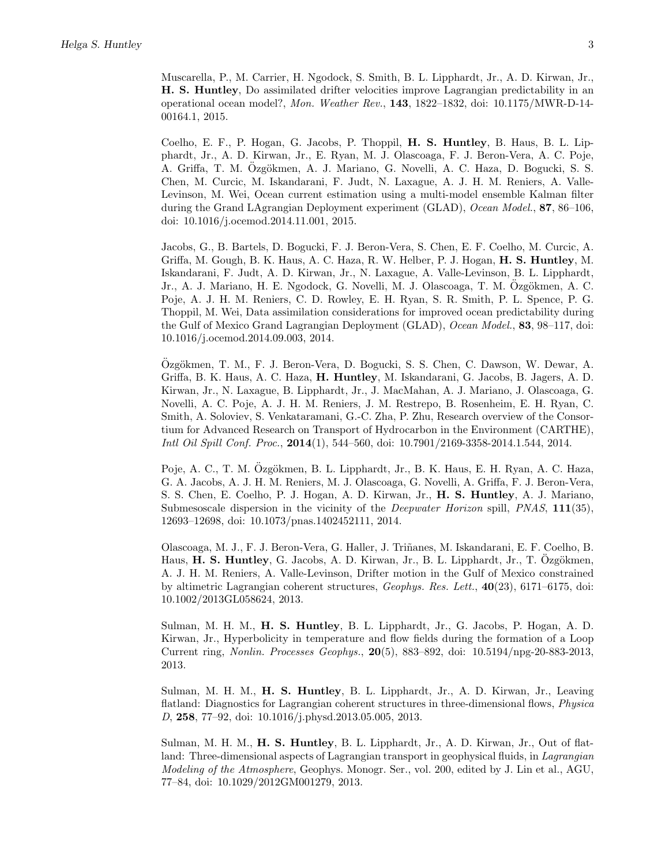Muscarella, P., M. Carrier, H. Ngodock, S. Smith, B. L. Lipphardt, Jr., A. D. Kirwan, Jr., H. S. Huntley, Do assimilated drifter velocities improve Lagrangian predictability in an operational ocean model?, *Mon. Weather Rev.*, 143, 1822–1832, doi: 10.1175/MWR-D-14- 00164.1, 2015.

Coelho, E. F., P. Hogan, G. Jacobs, P. Thoppil, H. S. Huntley, B. Haus, B. L. Lipphardt, Jr., A. D. Kirwan, Jr., E. Ryan, M. J. Olascoaga, F. J. Beron-Vera, A. C. Poje, A. Griffa, T. M. Özgökmen, A. J. Mariano, G. Novelli, A. C. Haza, D. Bogucki, S. S. Chen, M. Curcic, M. Iskandarani, F. Judt, N. Laxague, A. J. H. M. Reniers, A. Valle-Levinson, M. Wei, Ocean current estimation using a multi-model ensemble Kalman filter during the Grand LAgrangian Deployment experiment (GLAD), *Ocean Model.*, 87, 86–106, doi: 10.1016/j.ocemod.2014.11.001, 2015.

Jacobs, G., B. Bartels, D. Bogucki, F. J. Beron-Vera, S. Chen, E. F. Coelho, M. Curcic, A. Griffa, M. Gough, B. K. Haus, A. C. Haza, R. W. Helber, P. J. Hogan, H. S. Huntley, M. Iskandarani, F. Judt, A. D. Kirwan, Jr., N. Laxague, A. Valle-Levinson, B. L. Lipphardt, Jr., A. J. Mariano, H. E. Ngodock, G. Novelli, M. J. Olascoaga, T. M. Ozgökmen, A. C. Poje, A. J. H. M. Reniers, C. D. Rowley, E. H. Ryan, S. R. Smith, P. L. Spence, P. G. Thoppil, M. Wei, Data assimilation considerations for improved ocean predictability during the Gulf of Mexico Grand Lagrangian Deployment (GLAD), *Ocean Model.*, 83, 98–117, doi: 10.1016/j.ocemod.2014.09.003, 2014.

Ozgökmen, T. M., F. J. Beron-Vera, D. Bogucki, S. S. Chen, C. Dawson, W. Dewar, A. Griffa, B. K. Haus, A. C. Haza, H. Huntley, M. Iskandarani, G. Jacobs, B. Jagers, A. D. Kirwan, Jr., N. Laxague, B. Lipphardt, Jr., J. MacMahan, A. J. Mariano, J. Olascoaga, G. Novelli, A. C. Poje, A. J. H. M. Reniers, J. M. Restrepo, B. Rosenheim, E. H. Ryan, C. Smith, A. Soloviev, S. Venkataramani, G.-C. Zha, P. Zhu, Research overview of the Consortium for Advanced Research on Transport of Hydrocarbon in the Environment (CARTHE), *Intl Oil Spill Conf. Proc.*, 2014(1), 544–560, doi: 10.7901/2169-3358-2014.1.544, 2014.

Poje, A. C., T. M. Ozgökmen, B. L. Lipphardt, Jr., B. K. Haus, E. H. Ryan, A. C. Haza, G. A. Jacobs, A. J. H. M. Reniers, M. J. Olascoaga, G. Novelli, A. Griffa, F. J. Beron-Vera, S. S. Chen, E. Coelho, P. J. Hogan, A. D. Kirwan, Jr., H. S. Huntley, A. J. Mariano, Submesoscale dispersion in the vicinity of the *Deepwater Horizon* spill, *PNAS*, 111(35), 12693–12698, doi: 10.1073/pnas.1402452111, 2014.

Olascoaga, M. J., F. J. Beron-Vera, G. Haller, J. Triñanes, M. Iskandarani, E. F. Coelho, B. Haus, H. S. Huntley, G. Jacobs, A. D. Kirwan, Jr., B. L. Lipphardt, Jr., T. Ozgökmen, A. J. H. M. Reniers, A. Valle-Levinson, Drifter motion in the Gulf of Mexico constrained by altimetric Lagrangian coherent structures, *Geophys. Res. Lett.*, 40(23), 6171–6175, doi: 10.1002/2013GL058624, 2013.

Sulman, M. H. M., H. S. Huntley, B. L. Lipphardt, Jr., G. Jacobs, P. Hogan, A. D. Kirwan, Jr., Hyperbolicity in temperature and flow fields during the formation of a Loop Current ring, *Nonlin. Processes Geophys.*, 20(5), 883–892, doi: 10.5194/npg-20-883-2013, 2013.

Sulman, M. H. M., H. S. Huntley, B. L. Lipphardt, Jr., A. D. Kirwan, Jr., Leaving flatland: Diagnostics for Lagrangian coherent structures in three-dimensional flows, *Physica D*, 258, 77–92, doi: 10.1016/j.physd.2013.05.005, 2013.

Sulman, M. H. M., **H. S. Huntley**, B. L. Lipphardt, Jr., A. D. Kirwan, Jr., Out of flatland: Three-dimensional aspects of Lagrangian transport in geophysical fluids, in *Lagrangian Modeling of the Atmosphere*, Geophys. Monogr. Ser., vol. 200, edited by J. Lin et al., AGU, 77–84, doi: 10.1029/2012GM001279, 2013.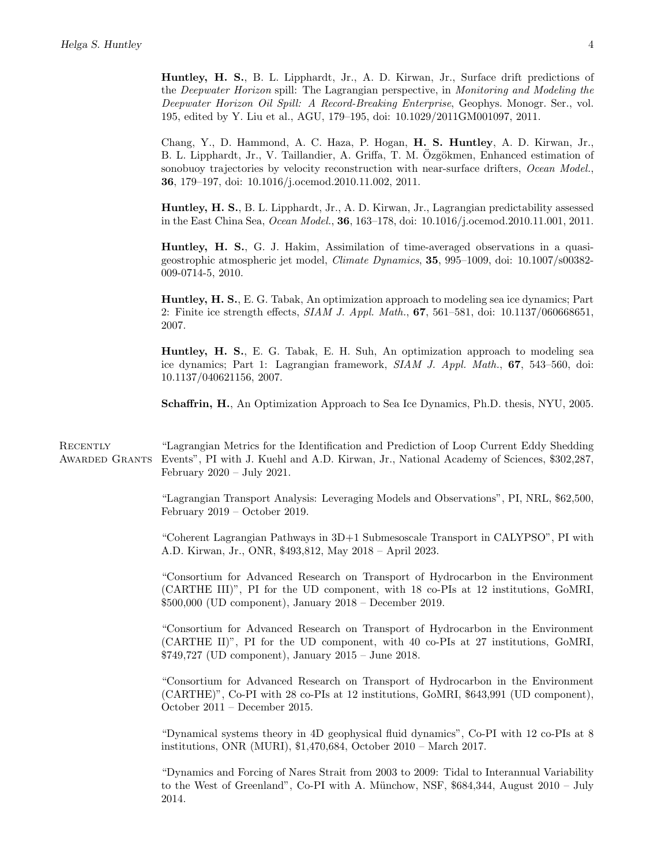Huntley, H. S., B. L. Lipphardt, Jr., A. D. Kirwan, Jr., Surface drift predictions of the *Deepwater Horizon* spill: The Lagrangian perspective, in *Monitoring and Modeling the Deepwater Horizon Oil Spill: A Record-Breaking Enterprise*, Geophys. Monogr. Ser., vol. 195, edited by Y. Liu et al., AGU, 179–195, doi: 10.1029/2011GM001097, 2011.

Chang, Y., D. Hammond, A. C. Haza, P. Hogan, H. S. Huntley, A. D. Kirwan, Jr., B. L. Lipphardt, Jr., V. Taillandier, A. Griffa, T. M. Özgökmen, Enhanced estimation of sonobuoy trajectories by velocity reconstruction with near-surface drifters, *Ocean Model.*, 36, 179–197, doi: 10.1016/j.ocemod.2010.11.002, 2011.

Huntley, H. S., B. L. Lipphardt, Jr., A. D. Kirwan, Jr., Lagrangian predictability assessed in the East China Sea, *Ocean Model.*, 36, 163–178, doi: 10.1016/j.ocemod.2010.11.001, 2011.

Huntley, H. S., G. J. Hakim, Assimilation of time-averaged observations in a quasigeostrophic atmospheric jet model, *Climate Dynamics*, 35, 995–1009, doi: 10.1007/s00382- 009-0714-5, 2010.

Huntley, H. S., E. G. Tabak, An optimization approach to modeling sea ice dynamics; Part 2: Finite ice strength effects, *SIAM J. Appl. Math.*, **67**, 561–581, doi: 10.1137/060668651, 2007.

Huntley, H. S., E. G. Tabak, E. H. Suh, An optimization approach to modeling sea ice dynamics; Part 1: Lagrangian framework, *SIAM J. Appl. Math.*, 67, 543–560, doi: 10.1137/040621156, 2007.

Schaffrin, H., An Optimization Approach to Sea Ice Dynamics, Ph.D. thesis, NYU, 2005.

**RECENTLY** Awarded Grants "Lagrangian Metrics for the Identification and Prediction of Loop Current Eddy Shedding Events", PI with J. Kuehl and A.D. Kirwan, Jr., National Academy of Sciences, \$302,287, February  $2020 - \text{July } 2021.$ 

> "Lagrangian Transport Analysis: Leveraging Models and Observations", PI, NRL, \$62,500, February 2019 – October 2019.

> "Coherent Lagrangian Pathways in 3D+1 Submesoscale Transport in CALYPSO", PI with A.D. Kirwan, Jr., ONR, \$493,812, May 2018 – April 2023.

> "Consortium for Advanced Research on Transport of Hydrocarbon in the Environment (CARTHE III)", PI for the UD component, with 18 co-PIs at 12 institutions, GoMRI, \$500,000 (UD component), January 2018 – December 2019.

> "Consortium for Advanced Research on Transport of Hydrocarbon in the Environment (CARTHE II)", PI for the UD component, with 40 co-PIs at 27 institutions, GoMRI, \$749,727 (UD component), January 2015 – June 2018.

> "Consortium for Advanced Research on Transport of Hydrocarbon in the Environment (CARTHE)", Co-PI with 28 co-PIs at 12 institutions, GoMRI, \$643,991 (UD component), October 2011 – December 2015.

> "Dynamical systems theory in 4D geophysical fluid dynamics", Co-PI with 12 co-PIs at 8 institutions, ONR (MURI), \$1,470,684, October 2010 – March 2017.

> "Dynamics and Forcing of Nares Strait from 2003 to 2009: Tidal to Interannual Variability to the West of Greenland", Co-PI with A. Münchow, NSF,  $$684,344$ , August  $2010$  – July 2014.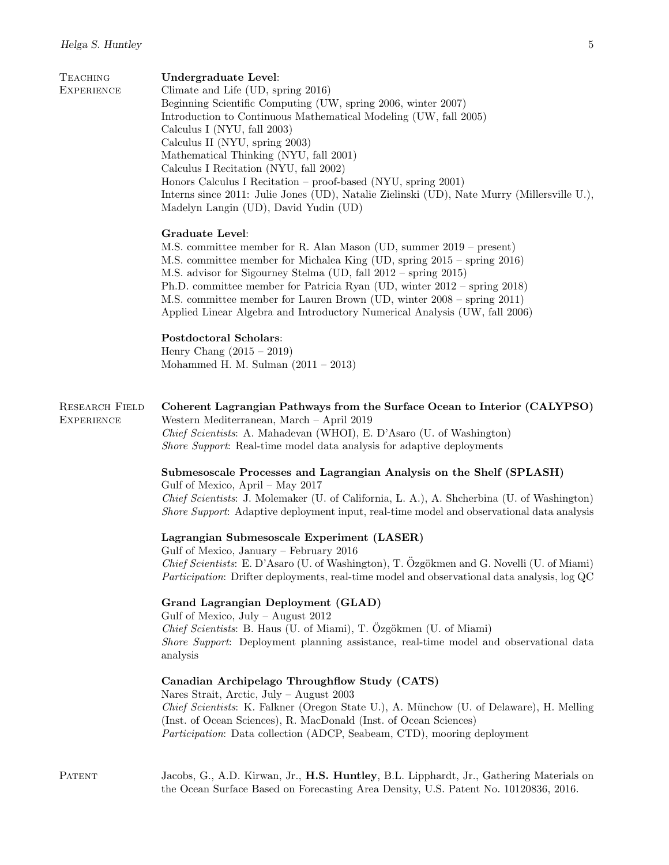| <b>TEACHING</b><br><b>EXPERIENCE</b>       | Undergraduate Level:<br>Climate and Life (UD, spring 2016)<br>Beginning Scientific Computing (UW, spring 2006, winter 2007)<br>Introduction to Continuous Mathematical Modeling (UW, fall 2005)<br>Calculus I (NYU, fall 2003)<br>Calculus II (NYU, spring 2003)<br>Mathematical Thinking (NYU, fall 2001)<br>Calculus I Recitation (NYU, fall 2002)<br>Honors Calculus I Recitation – proof-based (NYU, spring 2001)<br>Interns since 2011: Julie Jones (UD), Natalie Zielinski (UD), Nate Murry (Millersville U.),<br>Madelyn Langin (UD), David Yudin (UD) |
|--------------------------------------------|---------------------------------------------------------------------------------------------------------------------------------------------------------------------------------------------------------------------------------------------------------------------------------------------------------------------------------------------------------------------------------------------------------------------------------------------------------------------------------------------------------------------------------------------------------------|
|                                            | <b>Graduate Level:</b><br>M.S. committee member for R. Alan Mason (UD, summer 2019 – present)<br>M.S. committee member for Michalea King (UD, spring 2015 – spring 2016)<br>M.S. advisor for Sigourney Stelma (UD, fall 2012 – spring 2015)<br>Ph.D. committee member for Patricia Ryan (UD, winter 2012 – spring 2018)<br>M.S. committee member for Lauren Brown (UD, winter 2008 – spring 2011)<br>Applied Linear Algebra and Introductory Numerical Analysis (UW, fall 2006)                                                                               |
|                                            | Postdoctoral Scholars:<br>Henry Chang $(2015 - 2019)$<br>Mohammed H. M. Sulman $(2011 - 2013)$                                                                                                                                                                                                                                                                                                                                                                                                                                                                |
| <b>RESEARCH FIELD</b><br><b>EXPERIENCE</b> | Coherent Lagrangian Pathways from the Surface Ocean to Interior (CALYPSO)<br>Western Mediterranean, March - April 2019<br>Chief Scientists: A. Mahadevan (WHOI), E. D'Asaro (U. of Washington)<br>Shore Support: Real-time model data analysis for adaptive deployments                                                                                                                                                                                                                                                                                       |
|                                            | Submesoscale Processes and Lagrangian Analysis on the Shelf (SPLASH)<br>Gulf of Mexico, April – May $2017$<br>Chief Scientists: J. Molemaker (U. of California, L. A.), A. Shcherbina (U. of Washington)<br>Shore Support: Adaptive deployment input, real-time model and observational data analysis                                                                                                                                                                                                                                                         |
|                                            | Lagrangian Submesoscale Experiment (LASER)<br>Gulf of Mexico, January - February 2016<br>Chief Scientists: E. D'Asaro (U. of Washington), T. Özgökmen and G. Novelli (U. of Miami)<br><i>Participation:</i> Drifter deployments, real-time model and observational data analysis, log QC                                                                                                                                                                                                                                                                      |
|                                            | Grand Lagrangian Deployment (GLAD)<br>Gulf of Mexico, July – August $2012$<br>Chief Scientists: B. Haus (U. of Miami), T. Özgökmen (U. of Miami)<br>Shore Support: Deployment planning assistance, real-time model and observational data<br>analysis                                                                                                                                                                                                                                                                                                         |
|                                            | Canadian Archipelago Throughflow Study (CATS)<br>Nares Strait, Arctic, July - August 2003<br>Chief Scientists: K. Falkner (Oregon State U.), A. Münchow (U. of Delaware), H. Melling<br>(Inst. of Ocean Sciences), R. MacDonald (Inst. of Ocean Sciences)<br><i>Participation:</i> Data collection (ADCP, Seabeam, CTD), mooring deployment                                                                                                                                                                                                                   |
| <b>PATENT</b>                              | Jacobs, G., A.D. Kirwan, Jr., H.S. Huntley, B.L. Lipphardt, Jr., Gathering Materials on<br>the Ocean Surface Based on Forecasting Area Density, U.S. Patent No. 10120836, 2016.                                                                                                                                                                                                                                                                                                                                                                               |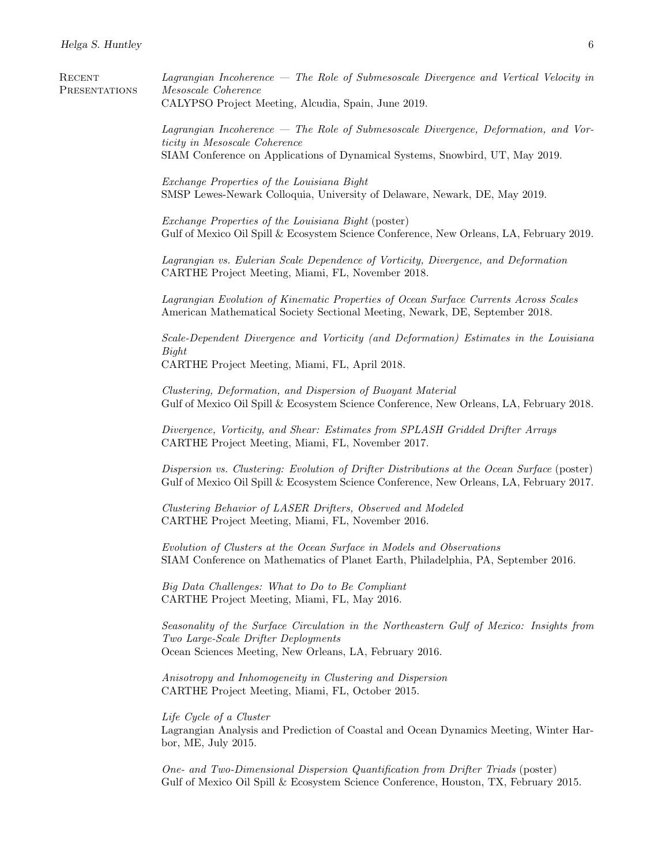| RECENT<br>PRESENTATIONS | Lagrangian Incoherence — The Role of Submesoscale Divergence and Vertical Velocity in<br>Mesoscale Coherence<br>CALYPSO Project Meeting, Alcudia, Spain, June 2019.                                     |  |  |  |
|-------------------------|---------------------------------------------------------------------------------------------------------------------------------------------------------------------------------------------------------|--|--|--|
|                         | $Lagrangian Incoherence$ – The Role of Submesoscale Divergence, Deformation, and Vor-<br>ticity in Mesoscale Coherence<br>SIAM Conference on Applications of Dynamical Systems, Snowbird, UT, May 2019. |  |  |  |
|                         | Exchange Properties of the Louisiana Bight<br>SMSP Lewes-Newark Colloquia, University of Delaware, Newark, DE, May 2019.                                                                                |  |  |  |
|                         | Exchange Properties of the Louisiana Bight (poster)<br>Gulf of Mexico Oil Spill & Ecosystem Science Conference, New Orleans, LA, February 2019.                                                         |  |  |  |
|                         | Lagrangian vs. Eulerian Scale Dependence of Vorticity, Divergence, and Deformation<br>CARTHE Project Meeting, Miami, FL, November 2018.                                                                 |  |  |  |
|                         | Lagrangian Evolution of Kinematic Properties of Ocean Surface Currents Across Scales<br>American Mathematical Society Sectional Meeting, Newark, DE, September 2018.                                    |  |  |  |
|                         | Scale-Dependent Divergence and Vorticity (and Deformation) Estimates in the Louisiana<br>Bight<br>CARTHE Project Meeting, Miami, FL, April 2018.                                                        |  |  |  |
|                         | Clustering, Deformation, and Dispersion of Buoyant Material<br>Gulf of Mexico Oil Spill & Ecosystem Science Conference, New Orleans, LA, February 2018.                                                 |  |  |  |
|                         | Divergence, Vorticity, and Shear: Estimates from SPLASH Gridded Drifter Arrays<br>CARTHE Project Meeting, Miami, FL, November 2017.                                                                     |  |  |  |
|                         | Dispersion vs. Clustering: Evolution of Drifter Distributions at the Ocean Surface (poster)<br>Gulf of Mexico Oil Spill & Ecosystem Science Conference, New Orleans, LA, February 2017.                 |  |  |  |
|                         | Clustering Behavior of LASER Drifters, Observed and Modeled<br>CARTHE Project Meeting, Miami, FL, November 2016.                                                                                        |  |  |  |
|                         | Evolution of Clusters at the Ocean Surface in Models and Observations<br>SIAM Conference on Mathematics of Planet Earth, Philadelphia, PA, September 2016.                                              |  |  |  |
|                         | Big Data Challenges: What to Do to Be Compliant<br>CARTHE Project Meeting, Miami, FL, May 2016.                                                                                                         |  |  |  |
|                         | Seasonality of the Surface Circulation in the Northeastern Gulf of Mexico: Insights from<br>Two Large-Scale Drifter Deployments<br>Ocean Sciences Meeting, New Orleans, LA, February 2016.              |  |  |  |
|                         | Anisotropy and Inhomogeneity in Clustering and Dispersion<br>CARTHE Project Meeting, Miami, FL, October 2015.                                                                                           |  |  |  |
|                         | Life Cycle of a Cluster<br>Lagrangian Analysis and Prediction of Coastal and Ocean Dynamics Meeting, Winter Har-<br>bor, ME, July 2015.                                                                 |  |  |  |
|                         | One- and Two-Dimensional Dispersion Quantification from Drifter Triads (poster)                                                                                                                         |  |  |  |

Gulf of Mexico Oil Spill & Ecosystem Science Conference, Houston, TX, February 2015.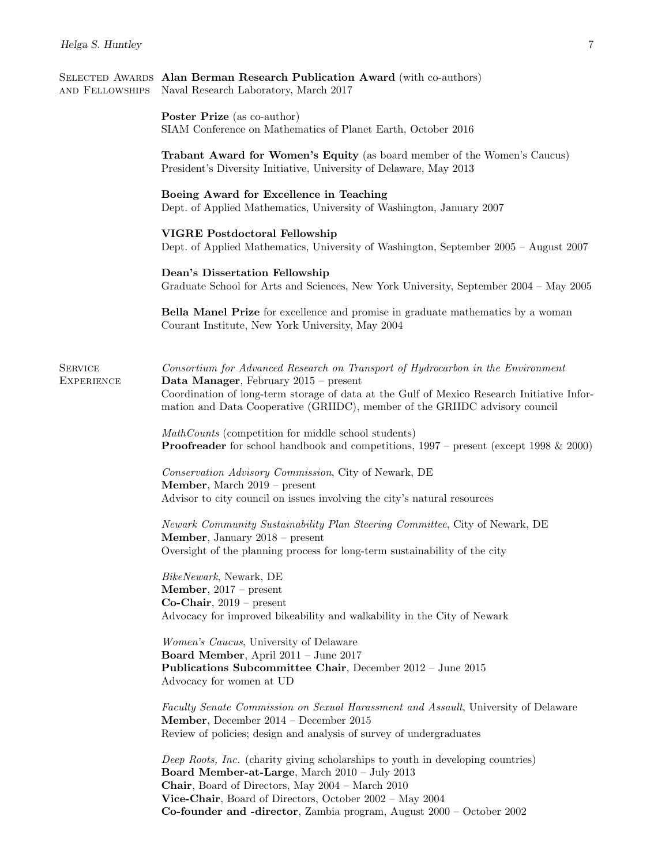| AND FELLOWSHIPS                     | SELECTED AWARDS Alan Berman Research Publication Award (with co-authors)<br>Naval Research Laboratory, March 2017                                                                                                                                                                                                           |  |  |
|-------------------------------------|-----------------------------------------------------------------------------------------------------------------------------------------------------------------------------------------------------------------------------------------------------------------------------------------------------------------------------|--|--|
|                                     | <b>Poster Prize</b> (as co-author)<br>SIAM Conference on Mathematics of Planet Earth, October 2016                                                                                                                                                                                                                          |  |  |
|                                     | Trabant Award for Women's Equity (as board member of the Women's Caucus)<br>President's Diversity Initiative, University of Delaware, May 2013                                                                                                                                                                              |  |  |
|                                     | Boeing Award for Excellence in Teaching<br>Dept. of Applied Mathematics, University of Washington, January 2007                                                                                                                                                                                                             |  |  |
|                                     | <b>VIGRE Postdoctoral Fellowship</b><br>Dept. of Applied Mathematics, University of Washington, September 2005 – August 2007                                                                                                                                                                                                |  |  |
|                                     | Dean's Dissertation Fellowship<br>Graduate School for Arts and Sciences, New York University, September 2004 – May 2005                                                                                                                                                                                                     |  |  |
|                                     | <b>Bella Manel Prize</b> for excellence and promise in graduate mathematics by a woman<br>Courant Institute, New York University, May 2004                                                                                                                                                                                  |  |  |
| <b>SERVICE</b><br><b>EXPERIENCE</b> | Consortium for Advanced Research on Transport of Hydrocarbon in the Environment<br>Data Manager, February $2015$ – present<br>Coordination of long-term storage of data at the Gulf of Mexico Research Initiative Infor-<br>mation and Data Cooperative (GRIIDC), member of the GRIIDC advisory council                     |  |  |
|                                     | MathCounts (competition for middle school students)<br><b>Proofreader</b> for school handbook and competitions, $1997$ – present (except $1998 \& 2000$ )                                                                                                                                                                   |  |  |
|                                     | Conservation Advisory Commission, City of Newark, DE<br>Member, March 2019 - present<br>Advisor to city council on issues involving the city's natural resources                                                                                                                                                            |  |  |
|                                     | Newark Community Sustainability Plan Steering Committee, City of Newark, DE<br>Member, January 2018 - present<br>Oversight of the planning process for long-term sustainability of the city                                                                                                                                 |  |  |
|                                     | BikeNewark, Newark, DE<br><b>Member</b> , $2017$ – present<br>$Co-Chair, 2019 - present$<br>Advocacy for improved bikeability and walkability in the City of Newark                                                                                                                                                         |  |  |
|                                     | <i>Women's Caucus</i> , University of Delaware<br>Board Member, April 2011 - June 2017<br>Publications Subcommittee Chair, December 2012 - June 2015<br>Advocacy for women at UD                                                                                                                                            |  |  |
|                                     | Faculty Senate Commission on Sexual Harassment and Assault, University of Delaware<br>Member, December 2014 - December 2015<br>Review of policies; design and analysis of survey of undergraduates                                                                                                                          |  |  |
|                                     | Deep Roots, Inc. (charity giving scholarships to youth in developing countries)<br>Board Member-at-Large, March 2010 - July 2013<br>Chair, Board of Directors, May 2004 - March 2010<br>Vice-Chair, Board of Directors, October 2002 - May 2004<br>Co-founder and -director, Zambia program, August $2000 -$ October $2002$ |  |  |